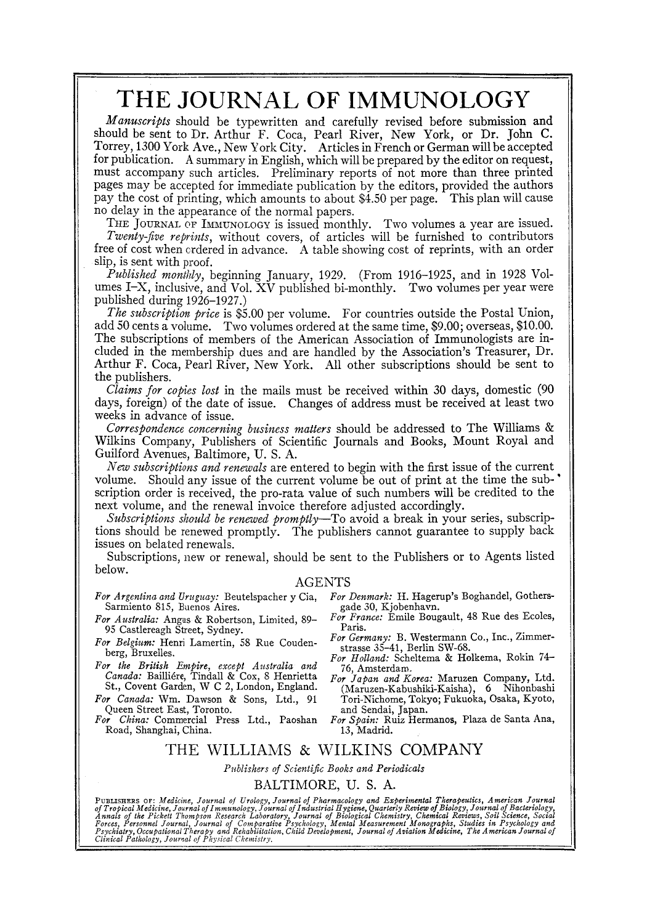# **THE JOURNAL OF IMMUNOLOGY**

*Manuscripts* should be typewritten and carefully revised before submission and should be sent to Dr. Arthur F. Coca, Pearl River, New York, or Dr. John C. Torrey, 1300 York Ave., New York City. Articles in French or German will be accepted for publication. A summary in English, which will be prepared by the editor on request, must accompany such articles. Preliminary reports of not more than three printed pages may be accepted for immediate publication by the editors, provided the authors pay the cost of printing, which amounts to about 84.50 per page. This plan will cause no delay in the appearance of the normal papers.

THE JOURNAL OF IMMUNOLOGY is issued monthly. Two volumes a year are issued. *Twenty-five reprints,* without covers, of articles will be furnished to contributors free of cost when crdered in advance. A table showing cost of reprints, with an order slip, is sent with proof.

*-Published monthly,* beginning January, 1929. (From 1916-1925, and in 1928 Volumes I-X, inclusive, and Vol. XV published bi-monthly. Two volumes per year were published during 1926-1927.)

*The subscription, price* is \$5.00 per volume. For countries outside the Postal Union, add 50 cents a volume. Two volumes ordered at the same time, 89.00; overseas, \$10.00. The subscriptions of members of the American Association of Immunologists are included in the membership dues and are handled by the Association's Treasurer, Dr. Arthur F. Coca, Pearl River, New York. All other subscriptions should be sent to the publishers.

*Claims for copies lost* in the mails must be received within 30 days, domestic (90 days, foreign) of the date of issue. Changes of address must be received at least two weeks in advance of issue.

*Correspondence concerning business matters* should be addressed to The Williams & Wilkins Company, Publishers of Scientific Journals and Books, Mount Royal and Guilford Avenues, Baltimore, U. S. A.

*New subscriptions and renewals* are entered to begin with the first issue of the current volume. Should any issue of the current volume be out of print at the time the sub-" scription order is received, the pro-rata value of such numbers will be credited to the next volume, and the renewal invoice therefore adjusted accordingly.

*Subscriptions should be renewed promptly*—To avoid a break in your series, subscriptions should be renewed promptly. The publishers cannot guarantee to supply back issues on belated renewals.

Subscriptions, new or renewal, should be sent to the Publishers or to Agents listed below.

#### AGENTS

- *For Argentina and Uruguay:* Beutelspacher y Cia, Sarmiento 815, Buenos Aires.
- *For Australia:* Angus & Robertson, Limited, 89- 95 Castlereagh Street, Sydney.
- *For Belgium:* Henri Lamertin, 58 Rue Coudenberg, Bruxelles.
- *For the British Empire, except Australia and Canada: Bailliére, Tindall & Cox, 8 Henrietta* St., Covent Garden, W C 2, London, England.
- *For Canada:* Wm. Dawson & Sons, Ltd., 91 Queen Street East, Toronto.
- *For China:* Commercial Press Ltd., Paoshan Road, Shanghai, China.
- *For Denmark:* H. Hagerup's Boghandel, Gothersgade 30, Kjobenhavn.
- *For France:* Emile Bougault, 48 Rue des Ecoles, Paris.
- *For Germany:* B. Westermann Co., Inc., Zimmerstrasse 35-41, Berlin SW-68.
- *For Holland:* Scheltema & Holkema, Rokin 74- 76, Amsterdam.
- *For Japan and Korea:* Maruzen Company, Ltd. (Maruzen-Kabushiki-Kaisha), 6 Nihonbashi Tori-Nichome, Tokyo; Fukuoka, Osaka, Kyoto, and Sendal, Japan.
- *For Spain:* Ruiz Hermanos, Plaza de Santa Ana, 13, Madrid.

#### THE WILLIAMS & WILKINS COMPANY

#### *Publishers of Scientific Books and Periodicals*  BALTIMORE, U. S. A.

PUBLISHERS OF: Medicine, Journal of Urology, Journal of Pharmacology and Experimental Therapeutics, American Journal<br>of Tropical Medicine, Journal of Immunology, Journal of Industrial Hygiene, Quarterly Review of Biology,